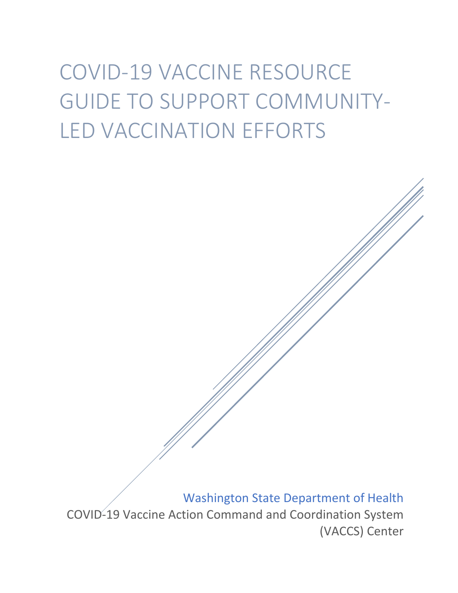# COVID-19 VACCINE RESOURCE GUIDE TO SUPPORT COMMUNITY-LED VACCINATION EFFORTS

Washington State Department of Health

COVID-19 Vaccine Action Command and Coordination System (VACCS) Center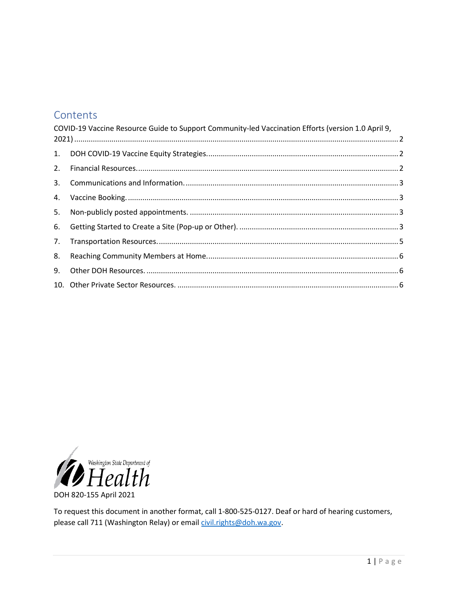### Contents

|    | COVID-19 Vaccine Resource Guide to Support Community-led Vaccination Efforts (version 1.0 April 9, |  |
|----|----------------------------------------------------------------------------------------------------|--|
|    |                                                                                                    |  |
| 2. |                                                                                                    |  |
| 3. |                                                                                                    |  |
| 4. |                                                                                                    |  |
| 5. |                                                                                                    |  |
| 6. |                                                                                                    |  |
| 7. |                                                                                                    |  |
| 8. |                                                                                                    |  |
| 9. |                                                                                                    |  |
|    |                                                                                                    |  |



To request this document in another format, call 1-800-525-0127. Deaf or hard of hearing customers, please call 711 (Washington Relay) or email civil.rights@doh.wa.gov.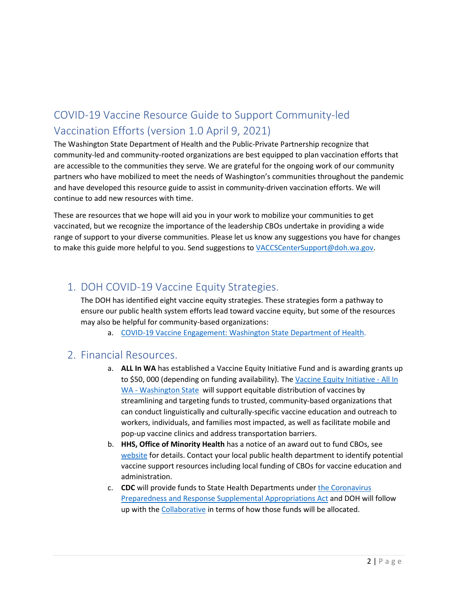## <span id="page-2-0"></span>COVID-19 Vaccine Resource Guide to Support Community-led Vaccination Efforts (version 1.0 April 9, 2021)

The Washington State Department of Health and the Public-Private Partnership recognize that community-led and community-rooted organizations are best equipped to plan vaccination efforts that are accessible to the communities they serve. We are grateful for the ongoing work of our community partners who have mobilized to meet the needs of Washington's communities throughout the pandemic and have developed this resource guide to assist in community-driven vaccination efforts. We will continue to add new resources with time.

These are resources that we hope will aid you in your work to mobilize your communities to get vaccinated, but we recognize the importance of the leadership CBOs undertake in providing a wide range of support to your diverse communities. Please let us know any suggestions you have for changes to make this guide more helpful to you. Send suggestions to [VACCSCenterSupport@doh.wa.gov.](mailto:VACCSCenterSupport@doh.wa.gov)

## <span id="page-2-1"></span>1. DOH COVID-19 Vaccine Equity Strategies.

The DOH has identified eight vaccine equity strategies. These strategies form a pathway to ensure our public health system efforts lead toward vaccine equity, but some of the resources may also be helpful for community-based organizations:

a. [COVID-19 Vaccine Engagement: Washington State Department of Health.](https://www.doh.wa.gov/Emergencies/COVID19/VaccineInformation/Engagement)

#### <span id="page-2-2"></span>2. Financial Resources.

- a. **ALL In WA** has established a Vaccine Equity Initiative Fund and is awarding grants up to \$50, 000 (depending on funding availability). The Vaccine Equity Initiative - All In [WA - Washington State](https://allinwa.org/vaccine-equity-initiative/) will support equitable distribution of vaccines by streamlining and targeting funds to trusted, community-based organizations that can conduct linguistically and culturally-specific vaccine education and outreach to workers, individuals, and families most impacted, as well as facilitate mobile and pop-up vaccine clinics and address transportation barriers.
- b. **HHS, Office of Minority Health** has a notice of an award out to fund CBOs, see [website](https://www.grants.gov/web/grants/view-opportunity.html?oppId=330807) for details. Contact your local public health department to identify potential vaccine support resources including local funding of CBOs for vaccine education and administration.
- c. **CDC** will provide funds to State Health Departments under [the Coronavirus](https://www.congress.gov/116/bills/hr6074/BILLS-116hr6074enr.pdf)  [Preparedness and Response Supplemental Appropriations Act](https://www.congress.gov/116/bills/hr6074/BILLS-116hr6074enr.pdf) and DOH will follow up with the [Collaborative](https://www.doh.wa.gov/Emergencies/COVID19/VaccineInformation/Engagement/Collaborative) in terms of how those funds will be allocated.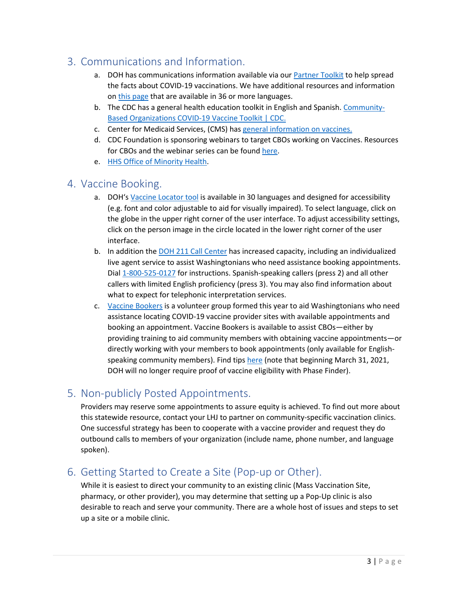## <span id="page-3-0"></span>3. Communications and Information.

- a. DOH has communications information available via ou[r Partner Toolkit](https://coronavirus.wa.gov/partner-toolkit) to help spread the facts about COVID-19 vaccinations. We have additional resources and information on [this page](https://www.doh.wa.gov/Emergencies/COVID19/ResourcesandRecommendations#vaccines) that are available in 36 or more languages.
- b. The CDC has a general health education toolkit in English and Spanish. [Community-](https://www.cdc.gov/coronavirus/2019-ncov/vaccines/toolkits/community-organization.html)[Based Organizations COVID-19 Vaccine Toolkit | CDC.](https://www.cdc.gov/coronavirus/2019-ncov/vaccines/toolkits/community-organization.html)
- c. Center for Medicaid Services, (CMS) has [general information on vaccines.](https://www.cms.gov/About-CMS/Agency-Information/OMH/resource-center/COVID-19-Vaccine-Resources)
- d. CDC Foundation is sponsoring webinars to target CBOs working on Vaccines. Resources for CBOs and the webinar series can be found [here.](https://www.cdcfoundation.org/COVID-19-community-resources)
- e. [HHS Office of Minority Health.](https://www.minorityhealth.hhs.gov/omh/browse.aspx?lvl=3&lvlid=119)

#### <span id="page-3-1"></span>4. Vaccine Booking.

- a. DOH'[s Vaccine Locator tool](https://vaccinelocator.doh.wa.gov/) is available in 30 languages and designed for accessibility (e.g. font and color adjustable to aid for visually impaired). To select language, click on the globe in the upper right corner of the user interface. To adjust accessibility settings, click on the person image in the circle located in the lower right corner of the user interface.
- b. In addition the [DOH 211 Call Center](https://wa211.org/) has increased capacity, including an individualized live agent service to assist Washingtonians who need assistance booking appointments. Dia[l 1-800-525-0127](tel:18005250127) for instructions. Spanish-speaking callers (press 2) and all other callers with limited English proficiency (press 3). You may also find information about what to expect for telephonic interpretation services.
- c. [Vaccine Bookers](https://www.vaccinebookerswa.com/) is a volunteer group formed this year to aid Washingtonians who need assistance locating COVID-19 vaccine provider sites with available appointments and booking an appointment. Vaccine Bookers is available to assist CBOs—either by providing training to aid community members with obtaining vaccine appointments—or directly working with your members to book appointments (only available for Englishspeaking community members). Find tips [here](https://6342b7cc-924f-4d22-9064-bb78ac1beb1a.filesusr.com/ugd/9d4a23_1fc1cdd172bd4dab8021ade7532bb25c.pdf) (note that beginning March 31, 2021, DOH will no longer require proof of vaccine eligibility with Phase Finder).

## <span id="page-3-2"></span>5. Non-publicly Posted Appointments.

Providers may reserve some appointments to assure equity is achieved. To find out more about this statewide resource, contact your LHJ to partner on community-specific vaccination clinics. One successful strategy has been to cooperate with a vaccine provider and request they do outbound calls to members of your organization (include name, phone number, and language spoken).

## <span id="page-3-3"></span>6. Getting Started to Create a Site (Pop-up or Other).

While it is easiest to direct your community to an existing clinic (Mass Vaccination Site, pharmacy, or other provider), you may determine that setting up a Pop-Up clinic is also desirable to reach and serve your community. There are a whole host of issues and steps to set up a site or a mobile clinic.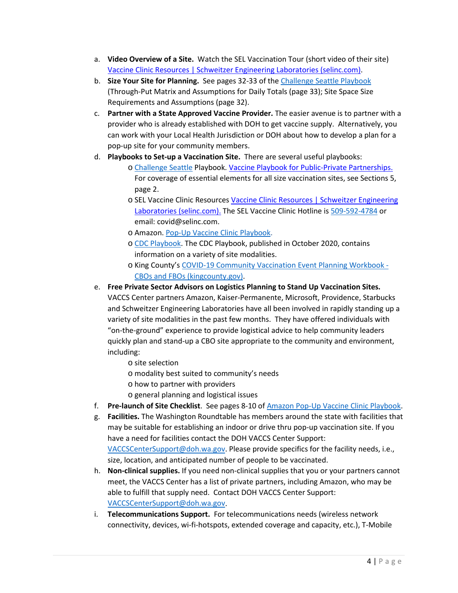- a. **Video Overview of a Site.** Watch the SEL Vaccination Tour (short video of their site) [Vaccine Clinic Resources | Schweitzer Engineering Laboratories \(selinc.com\).](https://selinc.com/company/vaccine-clinic-resources/)
- b. **Size Your Site for Planning.** See pages 32-33 of th[e Challenge Seattle Playbook](https://21652974-25d8-4ff1-bbc0-8687c8ec1f64.filesusr.com/ugd/e29733_85ddb1ac8ee54759a971e885f1b6b32c.pdf)  (Through-Put Matrix and Assumptions for Daily Totals (page 33); Site Space Size Requirements and Assumptions (page 32).
- c. **Partner with a State Approved Vaccine Provider.** The easier avenue is to partner with a provider who is already established with DOH to get vaccine supply. Alternatively, you can work with your Local Health Jurisdiction or DOH about how to develop a plan for a pop-up site for your community members.
- d. **Playbooks to Set-up a Vaccination Site.** There are several useful playbooks:
	- o [Challenge Seattle](https://www.challengeseattle.com/) Playbook. [Vaccine Playbook for Public-Private Partnerships.](https://21652974-25d8-4ff1-bbc0-8687c8ec1f64.filesusr.com/ugd/e29733_85ddb1ac8ee54759a971e885f1b6b32c.pdf) For coverage of essential elements for all size vaccination sites, see Sections 5, page 2.
	- o SEL Vaccine Clinic Resources [Vaccine Clinic Resources | Schweitzer Engineering](https://selinc.com/company/vaccine-clinic-resources/)  [Laboratories \(selinc.com\).](https://selinc.com/company/vaccine-clinic-resources/) The SEL Vaccine Clinic Hotline is [509-592-4784](mailto:509-592-4784) or email: covid@selinc.com.
	- o Amazon. [Pop-Up Vaccine Clinic Playbook.](https://assets.aboutamazon.com/55/38/6e92c8454b81b3f803fa866a1bfc/popup-vaccine-clinic-playbook-2021.pdf)
	- o [CDC Playbook.](https://www.cdc.gov/vaccines/imz-managers/downloads/Covid-19-Vaccination-Program-Interim_Playbook.pdf) The CDC Playbook, published in October 2020, contains information on a variety of site modalities.
	- o King County's [COVID-19 Community Vaccination Event Planning Workbook](https://www.kingcounty.gov/depts/health/covid-19/%7E/media/depts/health/communicable-diseases/documents/C19/covid-19-vaccination-event-planning-for-CBOs-and-FBOs.ashx)  [CBOs and FBOs \(kingcounty.gov\).](https://www.kingcounty.gov/depts/health/covid-19/%7E/media/depts/health/communicable-diseases/documents/C19/covid-19-vaccination-event-planning-for-CBOs-and-FBOs.ashx)
- e. **Free Private Sector Advisors on Logistics Planning to Stand Up Vaccination Sites.**

VACCS Center partners Amazon, Kaiser-Permanente, Microsoft, Providence, Starbucks and Schweitzer Engineering Laboratories have all been involved in rapidly standing up a variety of site modalities in the past few months. They have offered individuals with "on-the-ground" experience to provide logistical advice to help community leaders quickly plan and stand-up a CBO site appropriate to the community and environment, including:

- o site selection
- o modality best suited to community's needs
- o how to partner with providers
- o general planning and logistical issues
- f. **Pre-launch of Site Checklist**. See pages 8-10 of [Amazon Pop-Up Vaccine Clinic Playbook.](https://assets.aboutamazon.com/55/38/6e92c8454b81b3f803fa866a1bfc/popup-vaccine-clinic-playbook-2021.pdf)
- g. **Facilities.** The Washington Roundtable has members around the state with facilities that may be suitable for establishing an indoor or drive thru pop-up vaccination site. If you have a need for facilities contact the DOH VACCS Center Support:

[VACCSCenterSupport@doh.wa.gov.](mailto:VACCSCenterSupport@doh.wa.gov) Please provide specifics for the facility needs, i.e., size, location, and anticipated number of people to be vaccinated.

- h. **Non-clinical supplies.** If you need non-clinical supplies that you or your partners cannot meet, the VACCS Center has a list of private partners, including Amazon, who may be able to fulfill that supply need. Contact DOH VACCS Center Support: [VACCSCenterSupport@doh.wa.gov.](mailto:VACCSCenterSupport@doh.wa.gov)
- i. **Telecommunications Support.** For telecommunications needs (wireless network connectivity, devices, wi-fi-hotspots, extended coverage and capacity, etc.), T-Mobile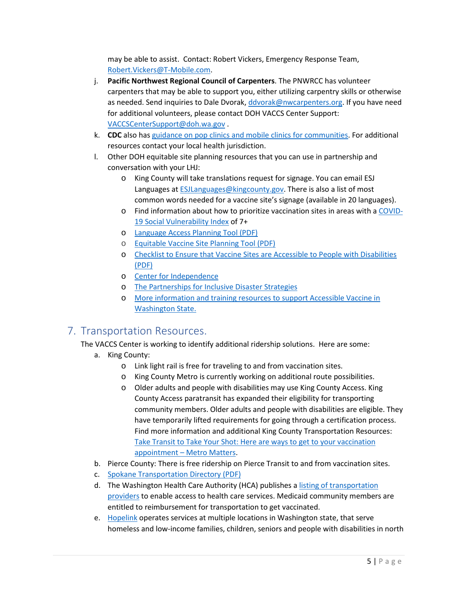may be able to assist. Contact: Robert Vickers, Emergency Response Team, [Robert.Vickers@T-Mobile.com.](mailto:Robert.Vickers@T-Mobile.com)

- j. **Pacific Northwest Regional Council of Carpenters**. The PNWRCC has volunteer carpenters that may be able to support you, either utilizing carpentry skills or otherwise as needed. Send inquiries to Dale Dvorak, [ddvorak@nwcarpenters.org.](mailto:ddvorak@nwcarpenters.org) If you have need for additional volunteers, please contact DOH VACCS Center Support: [VACCSCenterSupport@doh.wa.gov](mailto:VACCSCenterSupport@doh.wa.gov) .
- k. **CDC** also has [guidance on pop clinics and mobile clinics for communities.](https://www.cdc.gov/vaccines/hcp/admin/mass-clinic-activities/index.html) For additional resources contact your local health jurisdiction.
- l. Other DOH equitable site planning resources that you can use in partnership and conversation with your LHJ:
	- o King County will take translations request for signage. You can email ESJ Languages at [ESJLanguages@kingcounty.gov.](mailto:ESJLanguages@kingcounty.gov) There is also a list of most common words needed for a vaccine site's signage (available in 20 languages).
	- o Find information about how to prioritize vaccination sites in areas with [a COVID-](https://fortress.wa.gov/doh/wtn/WTNIBL/)[19 Social Vulnerability Index](https://fortress.wa.gov/doh/wtn/WTNIBL/) of 7+
	- o [Language Access Planning Tool \(PDF\)](https://www.doh.wa.gov/Portals/1/Documents/1600/coronavirus/LanguageAccessPlanningTool.pdf)
	- o [Equitable Vaccine Site Planning Tool \(PDF\)](https://www.doh.wa.gov/Portals/1/Documents/1600/coronavirus/EquitableVaccinationSitePlanningTool.pdf)
	- o [Checklist to Ensure that Vaccine Sites are Accessible to People with Disabilities](https://disasterstrategies.org/wp-content/uploads/2021/03/WA-DOH-Access-Checklist-for-Vaccination-Sites.pdf)  [\(PDF\)](https://disasterstrategies.org/wp-content/uploads/2021/03/WA-DOH-Access-Checklist-for-Vaccination-Sites.pdf)
	- o Center [for Independence](https://www.cfi-wa.org/)
	- o [The Partnerships for Inclusive Disaster Strategies](https://disasterstrategies.org/)
	- o [More information and training resources to support Accessible Vaccine in](https://www.doh.wa.gov/Emergencies/COVID19/HealthcareProviders/VaccineInformationforHealthcareProviders/ToolkitandResources/PrepMod)  [Washington State.](https://www.doh.wa.gov/Emergencies/COVID19/HealthcareProviders/VaccineInformationforHealthcareProviders/ToolkitandResources/PrepMod)

## <span id="page-5-0"></span>7. Transportation Resources.

#### The VACCS Center is working to identify additional ridership solutions. Here are some:

- a. King County:
	- o Link light rail is free for traveling to and from vaccination sites.
	- o King County Metro is currently working on additional route possibilities.
	- o Older adults and people with disabilities may use King County Access. King County Access paratransit has expanded their eligibility for transporting community members. Older adults and people with disabilities are eligible. They have temporarily lifted requirements for going through a certification process. Find more information and additional King County Transportation Resources: [Take Transit to Take Your Shot: Here are ways to get to your vaccination](https://kingcountymetro.blog/2021/02/23/take-transit-to-take-your-shot-here-are-ways-to-get-to-your-vaccination-appointment/)  [appointment – Metro Matters.](https://kingcountymetro.blog/2021/02/23/take-transit-to-take-your-shot-here-are-ways-to-get-to-your-vaccination-appointment/)
- b. Pierce County: There is free ridership on Pierce Transit to and from vaccination sites.
- c. [Spokane Transportation Directory \(PDF\)](https://www.doh.wa.gov/Portals/1/Documents/1600/coronavirus/SpokaneTransportationDirectory.pdf)
- d. The Washington Health Care Authority (HCA) publishes a listing of transportation [providers](https://www.hca.wa.gov/health-care-services-supports/apple-health-medicaid-coverage/transportation-services-non-emergency#transportation-broker-directory) to enable access to health care services. Medicaid community members are entitled to reimbursement for transportation to get vaccinated.
- e. [Hopelink](https://www.hopelink.org/contact) operates services at multiple locations in Washington state, that serve homeless and low-income families, children, seniors and people with disabilities in north